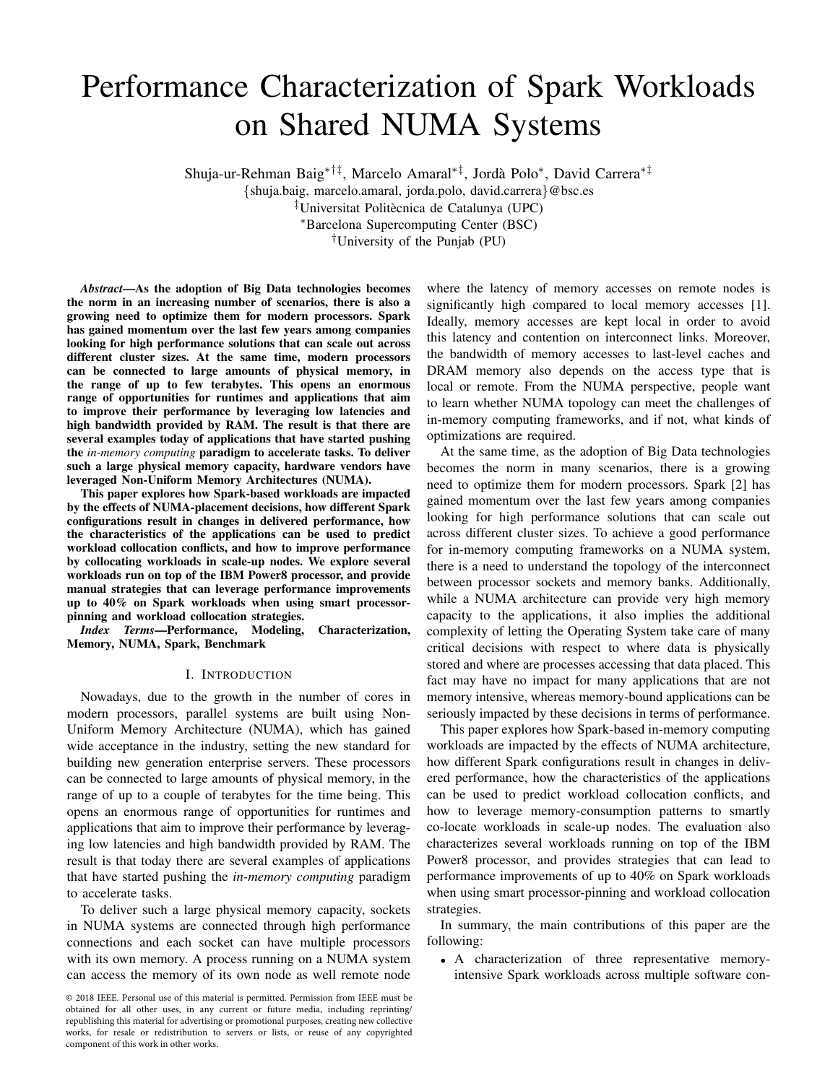# Performance Characterization of Spark Workloads on Shared NUMA Systems

Shuja-ur-Rehman Baig<sup>∗†‡</sup>, Marcelo Amaral<sup>∗‡</sup>, Jordà Polo<sup>∗</sup>, David Carrera<sup>∗‡</sup>

{shuja.baig, marcelo.amaral, jorda.polo, david.carrera}@bsc.es

 $\overline{a}^{\dagger}$ Universitat Politècnica de Catalunya (UPC)

<sup>∗</sup>Barcelona Supercomputing Center (BSC)

†University of the Punjab (PU)

*Abstract*—As the adoption of Big Data technologies becomes the norm in an increasing number of scenarios, there is also a growing need to optimize them for modern processors. Spark has gained momentum over the last few years among companies looking for high performance solutions that can scale out across different cluster sizes. At the same time, modern processors can be connected to large amounts of physical memory, in the range of up to few terabytes. This opens an enormous range of opportunities for runtimes and applications that aim to improve their performance by leveraging low latencies and high bandwidth provided by RAM. The result is that there are several examples today of applications that have started pushing the *in-memory computing* paradigm to accelerate tasks. To deliver such a large physical memory capacity, hardware vendors have leveraged Non-Uniform Memory Architectures (NUMA).

This paper explores how Spark-based workloads are impacted by the effects of NUMA-placement decisions, how different Spark configurations result in changes in delivered performance, how the characteristics of the applications can be used to predict workload collocation conflicts, and how to improve performance by collocating workloads in scale-up nodes. We explore several workloads run on top of the IBM Power8 processor, and provide manual strategies that can leverage performance improvements up to 40% on Spark workloads when using smart processorpinning and workload collocation strategies.

*Index Terms*—Performance, Modeling, Characterization, Memory, NUMA, Spark, Benchmark

### I. INTRODUCTION

Nowadays, due to the growth in the number of cores in modern processors, parallel systems are built using Non-Uniform Memory Architecture (NUMA), which has gained wide acceptance in the industry, setting the new standard for building new generation enterprise servers. These processors can be connected to large amounts of physical memory, in the range of up to a couple of terabytes for the time being. This opens an enormous range of opportunities for runtimes and applications that aim to improve their performance by leveraging low latencies and high bandwidth provided by RAM. The result is that today there are several examples of applications that have started pushing the *in-memory computing* paradigm to accelerate tasks.

To deliver such a large physical memory capacity, sockets in NUMA systems are connected through high performance connections and each socket can have multiple processors with its own memory. A process running on a NUMA system can access the memory of its own node as well remote node where the latency of memory accesses on remote nodes is significantly high compared to local memory accesses [1]. Ideally, memory accesses are kept local in order to avoid this latency and contention on interconnect links. Moreover, the bandwidth of memory accesses to last-level caches and DRAM memory also depends on the access type that is local or remote. From the NUMA perspective, people want to learn whether NUMA topology can meet the challenges of in-memory computing frameworks, and if not, what kinds of optimizations are required.

At the same time, as the adoption of Big Data technologies becomes the norm in many scenarios, there is a growing need to optimize them for modern processors. Spark [2] has gained momentum over the last few years among companies looking for high performance solutions that can scale out across different cluster sizes. To achieve a good performance for in-memory computing frameworks on a NUMA system, there is a need to understand the topology of the interconnect between processor sockets and memory banks. Additionally, while a NUMA architecture can provide very high memory capacity to the applications, it also implies the additional complexity of letting the Operating System take care of many critical decisions with respect to where data is physically stored and where are processes accessing that data placed. This fact may have no impact for many applications that are not memory intensive, whereas memory-bound applications can be seriously impacted by these decisions in terms of performance.

This paper explores how Spark-based in-memory computing workloads are impacted by the effects of NUMA architecture, how different Spark configurations result in changes in delivered performance, how the characteristics of the applications can be used to predict workload collocation conflicts, and how to leverage memory-consumption patterns to smartly co-locate workloads in scale-up nodes. The evaluation also characterizes several workloads running on top of the IBM Power8 processor, and provides strategies that can lead to performance improvements of up to 40% on Spark workloads when using smart processor-pinning and workload collocation strategies.

In summary, the main contributions of this paper are the following:

• A characterization of three representative memoryintensive Spark workloads across multiple software con-

<sup>© 2018</sup> IEEE. Personal use of this material is permitted. Permission from IEEE must be obtained for all other uses, in any current or future media, including reprinting/ republishing this material for advertising or promotional purposes, creating new collective works, for resale or redistribution to servers or lists, or reuse of any copyrighted component of this work in other works.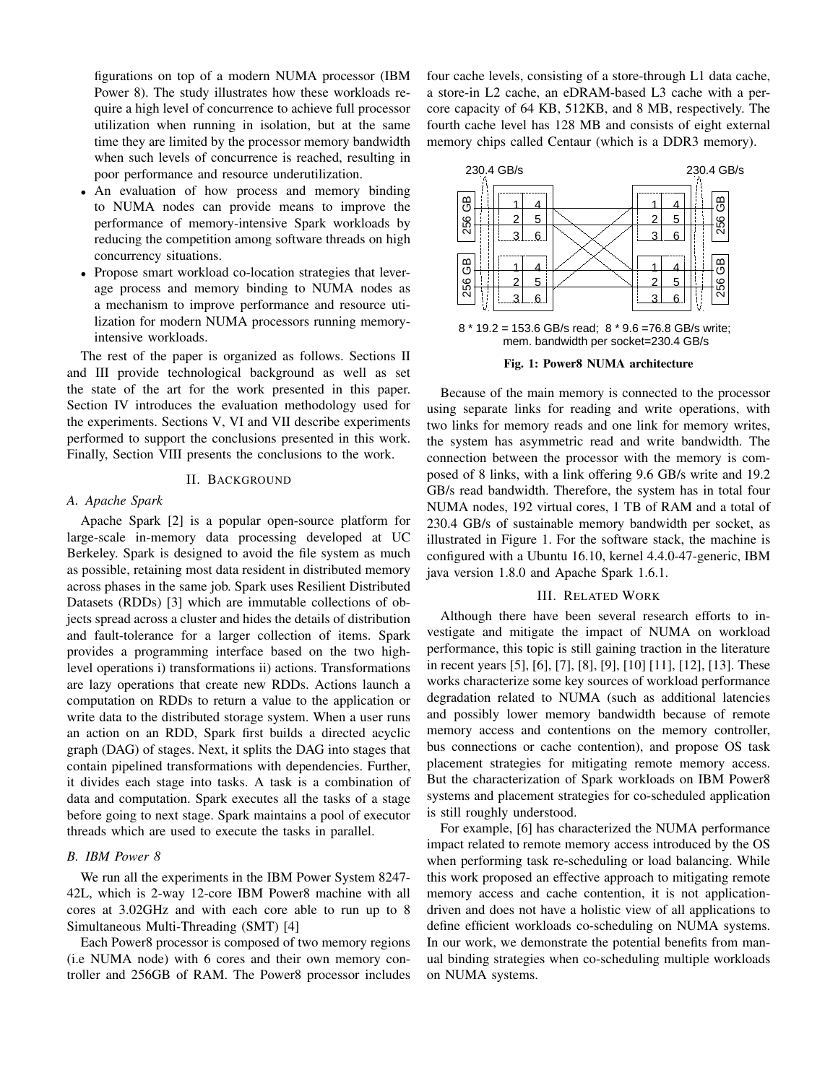figurations on top of a modern NUMA processor (IBM Power 8). The study illustrates how these workloads require a high level of concurrence to achieve full processor utilization when running in isolation, but at the same time they are limited by the processor memory bandwidth when such levels of concurrence is reached, resulting in poor performance and resource underutilization.

- An evaluation of how process and memory binding to NUMA nodes can provide means to improve the performance of memory-intensive Spark workloads by reducing the competition among software threads on high concurrency situations.
- Propose smart workload co-location strategies that leverage process and memory binding to NUMA nodes as a mechanism to improve performance and resource utilization for modern NUMA processors running memoryintensive workloads.

The rest of the paper is organized as follows. Sections II and III provide technological background as well as set the state of the art for the work presented in this paper. Section IV introduces the evaluation methodology used for the experiments. Sections V, VI and VII describe experiments performed to support the conclusions presented in this work. Finally, Section VIII presents the conclusions to the work.

## II. BACKGROUND

#### *A. Apache Spark*

Apache Spark [2] is a popular open-source platform for large-scale in-memory data processing developed at UC Berkeley. Spark is designed to avoid the file system as much as possible, retaining most data resident in distributed memory across phases in the same job. Spark uses Resilient Distributed Datasets (RDDs) [3] which are immutable collections of objects spread across a cluster and hides the details of distribution and fault-tolerance for a larger collection of items. Spark provides a programming interface based on the two highlevel operations i) transformations ii) actions. Transformations are lazy operations that create new RDDs. Actions launch a computation on RDDs to return a value to the application or write data to the distributed storage system. When a user runs an action on an RDD, Spark first builds a directed acyclic graph (DAG) of stages. Next, it splits the DAG into stages that contain pipelined transformations with dependencies. Further, it divides each stage into tasks. A task is a combination of data and computation. Spark executes all the tasks of a stage before going to next stage. Spark maintains a pool of executor threads which are used to execute the tasks in parallel.

# *B. IBM Power 8*

We run all the experiments in the IBM Power System 8247- 42L, which is 2-way 12-core IBM Power8 machine with all cores at 3.02GHz and with each core able to run up to 8 Simultaneous Multi-Threading (SMT) [4]

Each Power8 processor is composed of two memory regions (i.e NUMA node) with 6 cores and their own memory controller and 256GB of RAM. The Power8 processor includes four cache levels, consisting of a store-through L1 data cache, a store-in L2 cache, an eDRAM-based L3 cache with a percore capacity of 64 KB, 512KB, and 8 MB, respectively. The fourth cache level has 128 MB and consists of eight external memory chips called Centaur (which is a DDR3 memory).



Fig. 1: Power8 NUMA architecture

Because of the main memory is connected to the processor using separate links for reading and write operations, with two links for memory reads and one link for memory writes, the system has asymmetric read and write bandwidth. The connection between the processor with the memory is composed of 8 links, with a link offering 9.6 GB/s write and 19.2 GB/s read bandwidth. Therefore, the system has in total four NUMA nodes, 192 virtual cores, 1 TB of RAM and a total of 230.4 GB/s of sustainable memory bandwidth per socket, as illustrated in Figure 1. For the software stack, the machine is configured with a Ubuntu 16.10, kernel 4.4.0-47-generic, IBM java version 1.8.0 and Apache Spark 1.6.1.

## III. RELATED WORK

Although there have been several research efforts to investigate and mitigate the impact of NUMA on workload performance, this topic is still gaining traction in the literature in recent years [5], [6], [7], [8], [9], [10] [11], [12], [13]. These works characterize some key sources of workload performance degradation related to NUMA (such as additional latencies and possibly lower memory bandwidth because of remote memory access and contentions on the memory controller, bus connections or cache contention), and propose OS task placement strategies for mitigating remote memory access. But the characterization of Spark workloads on IBM Power8 systems and placement strategies for co-scheduled application is still roughly understood.

For example, [6] has characterized the NUMA performance impact related to remote memory access introduced by the OS when performing task re-scheduling or load balancing. While this work proposed an effective approach to mitigating remote memory access and cache contention, it is not applicationdriven and does not have a holistic view of all applications to define efficient workloads co-scheduling on NUMA systems. In our work, we demonstrate the potential benefits from manual binding strategies when co-scheduling multiple workloads on NUMA systems.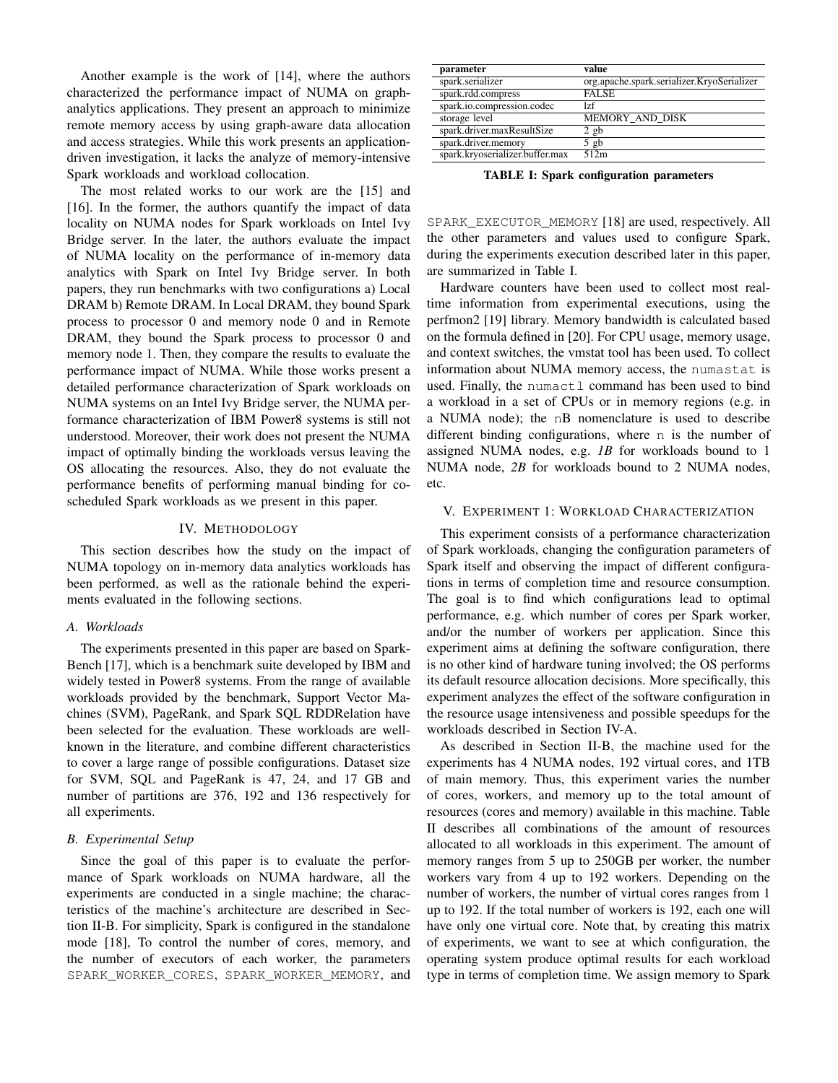Another example is the work of [14], where the authors characterized the performance impact of NUMA on graphanalytics applications. They present an approach to minimize remote memory access by using graph-aware data allocation and access strategies. While this work presents an applicationdriven investigation, it lacks the analyze of memory-intensive Spark workloads and workload collocation.

The most related works to our work are the [15] and [16]. In the former, the authors quantify the impact of data locality on NUMA nodes for Spark workloads on Intel Ivy Bridge server. In the later, the authors evaluate the impact of NUMA locality on the performance of in-memory data analytics with Spark on Intel Ivy Bridge server. In both papers, they run benchmarks with two configurations a) Local DRAM b) Remote DRAM. In Local DRAM, they bound Spark process to processor 0 and memory node 0 and in Remote DRAM, they bound the Spark process to processor 0 and memory node 1. Then, they compare the results to evaluate the performance impact of NUMA. While those works present a detailed performance characterization of Spark workloads on NUMA systems on an Intel Ivy Bridge server, the NUMA performance characterization of IBM Power8 systems is still not understood. Moreover, their work does not present the NUMA impact of optimally binding the workloads versus leaving the OS allocating the resources. Also, they do not evaluate the performance benefits of performing manual binding for coscheduled Spark workloads as we present in this paper.

#### IV. METHODOLOGY

This section describes how the study on the impact of NUMA topology on in-memory data analytics workloads has been performed, as well as the rationale behind the experiments evaluated in the following sections.

#### *A. Workloads*

The experiments presented in this paper are based on Spark-Bench [17], which is a benchmark suite developed by IBM and widely tested in Power8 systems. From the range of available workloads provided by the benchmark, Support Vector Machines (SVM), PageRank, and Spark SQL RDDRelation have been selected for the evaluation. These workloads are wellknown in the literature, and combine different characteristics to cover a large range of possible configurations. Dataset size for SVM, SQL and PageRank is 47, 24, and 17 GB and number of partitions are 376, 192 and 136 respectively for all experiments.

#### *B. Experimental Setup*

Since the goal of this paper is to evaluate the performance of Spark workloads on NUMA hardware, all the experiments are conducted in a single machine; the characteristics of the machine's architecture are described in Section II-B. For simplicity, Spark is configured in the standalone mode [18], To control the number of cores, memory, and the number of executors of each worker, the parameters SPARK WORKER CORES, SPARK WORKER MEMORY, and

| org.apache.spark.serializer.KryoSerializer |
|--------------------------------------------|
|                                            |
|                                            |
| MEMORY_AND_DISK                            |
|                                            |
|                                            |
|                                            |
|                                            |

TABLE I: Spark configuration parameters

SPARK\_EXECUTOR\_MEMORY [18] are used, respectively. All the other parameters and values used to configure Spark, during the experiments execution described later in this paper, are summarized in Table I.

Hardware counters have been used to collect most realtime information from experimental executions, using the perfmon2 [19] library. Memory bandwidth is calculated based on the formula defined in [20]. For CPU usage, memory usage, and context switches, the vmstat tool has been used. To collect information about NUMA memory access, the numastat is used. Finally, the numactl command has been used to bind a workload in a set of CPUs or in memory regions (e.g. in a NUMA node); the nB nomenclature is used to describe different binding configurations, where n is the number of assigned NUMA nodes, e.g. *1B* for workloads bound to 1 NUMA node, *2B* for workloads bound to 2 NUMA nodes, etc.

# V. EXPERIMENT 1: WORKLOAD CHARACTERIZATION

This experiment consists of a performance characterization of Spark workloads, changing the configuration parameters of Spark itself and observing the impact of different configurations in terms of completion time and resource consumption. The goal is to find which configurations lead to optimal performance, e.g. which number of cores per Spark worker, and/or the number of workers per application. Since this experiment aims at defining the software configuration, there is no other kind of hardware tuning involved; the OS performs its default resource allocation decisions. More specifically, this experiment analyzes the effect of the software configuration in the resource usage intensiveness and possible speedups for the workloads described in Section IV-A.

As described in Section II-B, the machine used for the experiments has 4 NUMA nodes, 192 virtual cores, and 1TB of main memory. Thus, this experiment varies the number of cores, workers, and memory up to the total amount of resources (cores and memory) available in this machine. Table II describes all combinations of the amount of resources allocated to all workloads in this experiment. The amount of memory ranges from 5 up to 250GB per worker, the number workers vary from 4 up to 192 workers. Depending on the number of workers, the number of virtual cores ranges from 1 up to 192. If the total number of workers is 192, each one will have only one virtual core. Note that, by creating this matrix of experiments, we want to see at which configuration, the operating system produce optimal results for each workload type in terms of completion time. We assign memory to Spark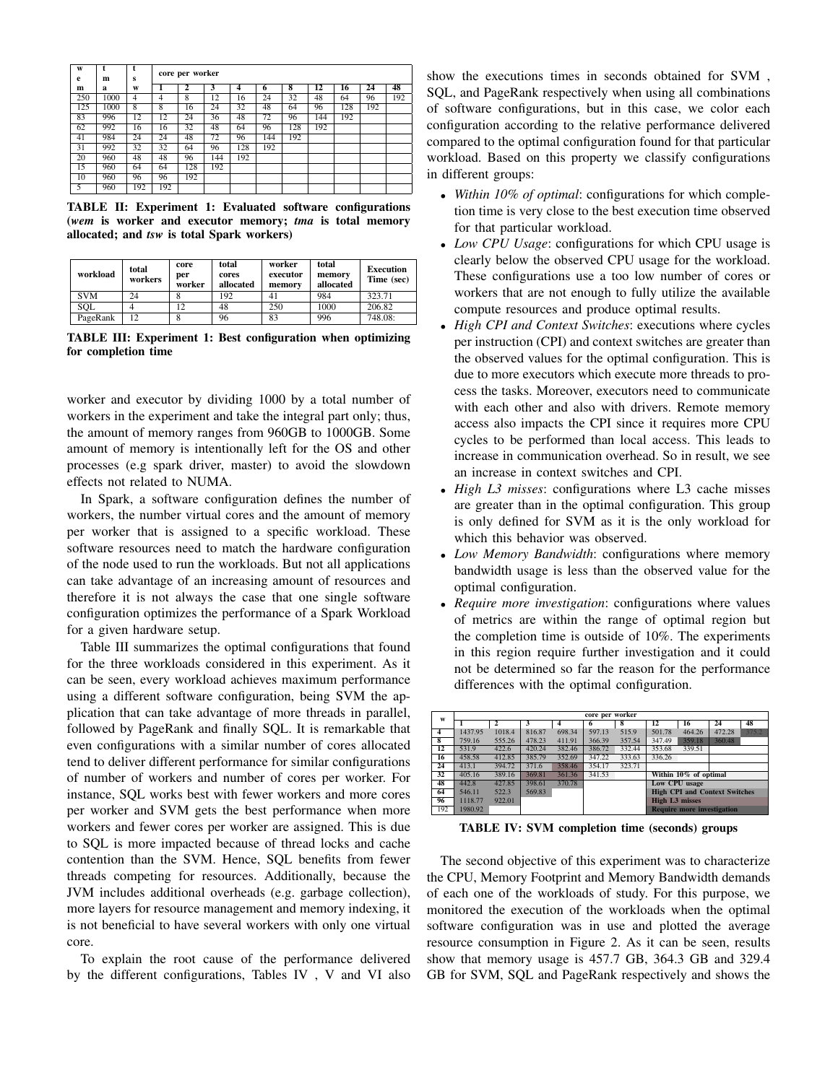| W<br>e | t<br>m | t<br>s         |                | core per worker |     |     |     |     |     |     |     |     |
|--------|--------|----------------|----------------|-----------------|-----|-----|-----|-----|-----|-----|-----|-----|
| m      | a      | W              |                | 2               | 3   | 4   | 6   | ऱ   | 12  | 16  | 24  | 48  |
| 250    | 1000   | $\overline{4}$ | $\overline{4}$ | 8               | 12  | 16  | 24  | 32  | 48  | 64  | 96  | 192 |
| 125    | 1000   | $\overline{8}$ | $\overline{8}$ | 16              | 24  | 32  | 48  | 64  | 96  | 128 | 192 |     |
| 83     | 996    | 12             | 12             | 24              | 36  | 48  | 72  | 96  | 144 | 192 |     |     |
| 62     | 992    | 16             | 16             | 32              | 48  | 64  | 96  | 128 | 192 |     |     |     |
| 41     | 984    | 24             | 24             | 48              | 72  | 96  | 144 | 192 |     |     |     |     |
| 31     | 992    | 32             | 32             | 64              | 96  | 128 | 192 |     |     |     |     |     |
| 20     | 960    | 48             | 48             | 96              | 144 | 192 |     |     |     |     |     |     |
| 15     | 960    | 64             | 64             | 128             | 192 |     |     |     |     |     |     |     |
| 10     | 960    | 96             | 96             | 192             |     |     |     |     |     |     |     |     |
| 5      | 960    | 192            | 192            |                 |     |     |     |     |     |     |     |     |

TABLE II: Experiment 1: Evaluated software configurations (*wem* is worker and executor memory; *tma* is total memory allocated; and *tsw* is total Spark workers)

| workload   | total<br>workers | core<br>per<br>worker | total<br>cores<br>allocated | worker<br>executor<br>memory | total<br>memory<br>allocated | <b>Execution</b><br>Time (sec) |
|------------|------------------|-----------------------|-----------------------------|------------------------------|------------------------------|--------------------------------|
| <b>SVM</b> | 24               |                       | 192                         |                              | 984                          | 323.71                         |
| SOL        |                  | 12                    | 48                          | 250                          | 1000                         | 206.82                         |
| PageRank   | $\overline{12}$  |                       | 96                          | 83                           | 996                          | 748.08:                        |

TABLE III: Experiment 1: Best configuration when optimizing for completion time

worker and executor by dividing 1000 by a total number of workers in the experiment and take the integral part only; thus, the amount of memory ranges from 960GB to 1000GB. Some amount of memory is intentionally left for the OS and other processes (e.g spark driver, master) to avoid the slowdown effects not related to NUMA.

In Spark, a software configuration defines the number of workers, the number virtual cores and the amount of memory per worker that is assigned to a specific workload. These software resources need to match the hardware configuration of the node used to run the workloads. But not all applications can take advantage of an increasing amount of resources and therefore it is not always the case that one single software configuration optimizes the performance of a Spark Workload for a given hardware setup.

Table III summarizes the optimal configurations that found for the three workloads considered in this experiment. As it can be seen, every workload achieves maximum performance using a different software configuration, being SVM the application that can take advantage of more threads in parallel, followed by PageRank and finally SQL. It is remarkable that even configurations with a similar number of cores allocated tend to deliver different performance for similar configurations of number of workers and number of cores per worker. For instance, SQL works best with fewer workers and more cores per worker and SVM gets the best performance when more workers and fewer cores per worker are assigned. This is due to SQL is more impacted because of thread locks and cache contention than the SVM. Hence, SQL benefits from fewer threads competing for resources. Additionally, because the JVM includes additional overheads (e.g. garbage collection), more layers for resource management and memory indexing, it is not beneficial to have several workers with only one virtual core.

To explain the root cause of the performance delivered by the different configurations, Tables IV , V and VI also

show the executions times in seconds obtained for SVM , SQL, and PageRank respectively when using all combinations of software configurations, but in this case, we color each configuration according to the relative performance delivered compared to the optimal configuration found for that particular workload. Based on this property we classify configurations in different groups:

- *Within 10% of optimal*: configurations for which completion time is very close to the best execution time observed for that particular workload.
- *Low CPU Usage*: configurations for which CPU usage is clearly below the observed CPU usage for the workload. These configurations use a too low number of cores or workers that are not enough to fully utilize the available compute resources and produce optimal results.
- *High CPI and Context Switches*: executions where cycles per instruction (CPI) and context switches are greater than the observed values for the optimal configuration. This is due to more executors which execute more threads to process the tasks. Moreover, executors need to communicate with each other and also with drivers. Remote memory access also impacts the CPI since it requires more CPU cycles to be performed than local access. This leads to increase in communication overhead. So in result, we see an increase in context switches and CPI.
- *High L3 misses*: configurations where L3 cache misses are greater than in the optimal configuration. This group is only defined for SVM as it is the only workload for which this behavior was observed.
- *Low Memory Bandwidth*: configurations where memory bandwidth usage is less than the observed value for the optimal configuration.
- *Require more investigation*: configurations where values of metrics are within the range of optimal region but the completion time is outside of 10%. The experiments in this region require further investigation and it could not be determined so far the reason for the performance differences with the optimal configuration.

| W                       |         |        |        |        | core per worker |        |                                      |                                   |        |       |  |
|-------------------------|---------|--------|--------|--------|-----------------|--------|--------------------------------------|-----------------------------------|--------|-------|--|
|                         |         |        |        |        | 6               | 8      | 12                                   | 16                                | 24     | 48    |  |
| 4                       | 1437.95 | 1018.4 | 816.87 | 698.34 | 597.13          | 515.9  | 501.78                               | 464.26                            | 472.28 | 375.2 |  |
| $\overline{\mathbf{8}}$ | 759.16  | 555.26 | 478.23 | 411.91 | 366.39          | 357.54 | 347.49                               | 359.18                            | 360.48 |       |  |
| 12                      | 531.9   | 422.6  | 420.24 | 382.46 | 386.72          | 332.44 | 353.68                               | 339.51                            |        |       |  |
| 16                      | 458.58  | 412.85 | 385.79 | 352.69 | 347.22          | 333.63 | 336.26                               |                                   |        |       |  |
| 24                      | 413.1   | 394.72 | 371.6  | 358.46 | 354.17          | 323.71 |                                      |                                   |        |       |  |
| 32                      | 405.16  | 389.16 | 369.81 | 361.36 | 341.53          |        |                                      | Within 10% of optimal             |        |       |  |
| 48                      | 442.8   | 427.85 | 398.61 | 370.78 |                 |        |                                      | Low CPU usage                     |        |       |  |
| 64                      | 546.11  | 522.3  | 569.83 |        |                 |        | <b>High CPI and Context Switches</b> |                                   |        |       |  |
| 96                      | 1118.77 | 922.01 |        |        |                 |        | <b>High L3 misses</b>                |                                   |        |       |  |
| 192                     | 1980.92 |        |        |        |                 |        |                                      | <b>Require more investigation</b> |        |       |  |

TABLE IV: SVM completion time (seconds) groups

The second objective of this experiment was to characterize the CPU, Memory Footprint and Memory Bandwidth demands of each one of the workloads of study. For this purpose, we monitored the execution of the workloads when the optimal software configuration was in use and plotted the average resource consumption in Figure 2. As it can be seen, results show that memory usage is 457.7 GB, 364.3 GB and 329.4 GB for SVM, SQL and PageRank respectively and shows the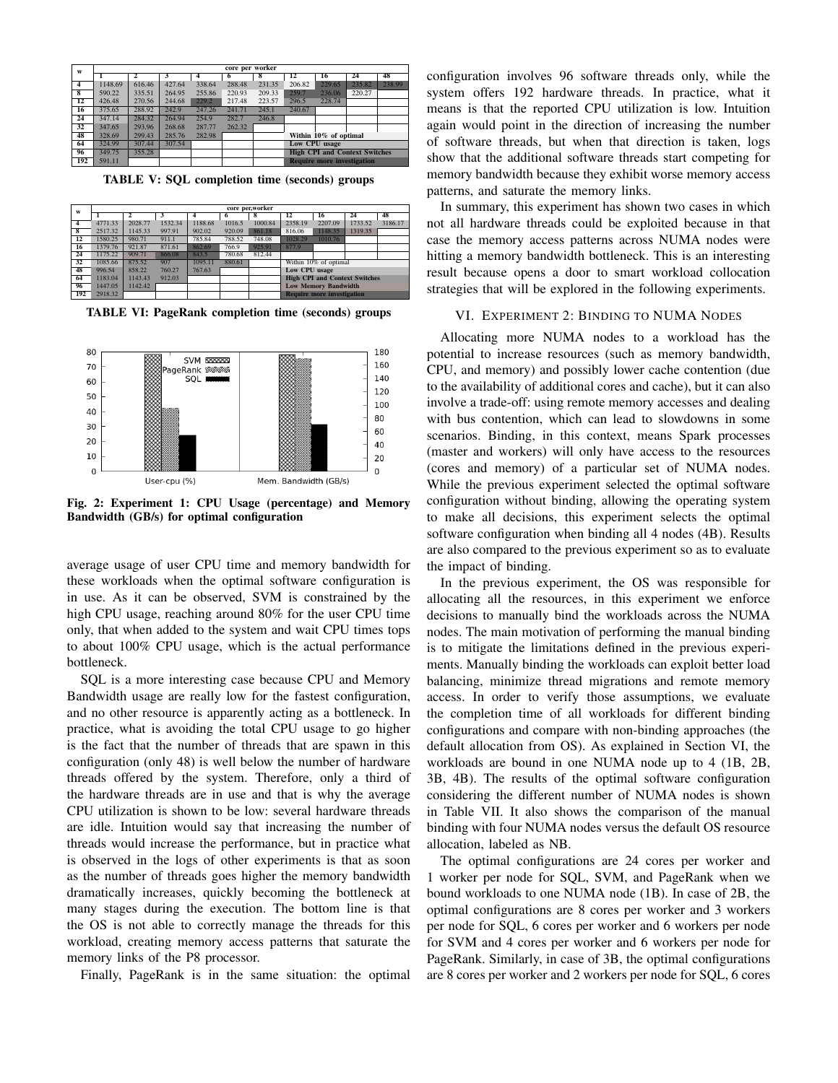| W               |         |              |        |        | core per worker |                                      |        |                                   |        |        |  |
|-----------------|---------|--------------|--------|--------|-----------------|--------------------------------------|--------|-----------------------------------|--------|--------|--|
|                 |         | $\mathbf{2}$ | 3      |        |                 | x                                    | 12     | 16                                | 24     | 48     |  |
| 4               | 1148.69 | 616.46       | 427.64 | 338.64 | 288.48          | 231.35                               | 206.82 | 229.65                            | 235.82 | 238.99 |  |
| 8               | 590.22  | 335.51       | 264.95 | 255.86 | 220.93          | 209.33                               | 259.7  | 236.06                            | 220.27 |        |  |
| $\overline{12}$ | 426.48  | 270.56       | 244.68 | 229.2  | 217.48          | 223.57                               | 296.5  | 228.74                            |        |        |  |
| 16              | 375.65  | 288.92       | 242.9  | 247.26 | 241.71          | 245.1                                | 240.67 |                                   |        |        |  |
| 24              | 347.14  | 284.32       | 264.94 | 254.9  | 282.7           | 246.8                                |        |                                   |        |        |  |
| 32              | 347.65  | 293.96       | 268.68 | 287.77 | 262.32          |                                      |        |                                   |        |        |  |
| 48              | 328.69  | 299.43       | 285.76 | 282.98 |                 |                                      |        | Within 10% of optimal             |        |        |  |
| 64              | 324.99  | 307.44       | 307.54 |        |                 | Low CPU usage                        |        |                                   |        |        |  |
| 96              | 349.75  | 355.28       |        |        |                 | <b>High CPI and Context Switches</b> |        |                                   |        |        |  |
| 192             | 591.11  |              |        |        |                 |                                      |        | <b>Require more investigation</b> |        |        |  |

TABLE V: SQL completion time (seconds) groups

| W                       |         | core per,worker |         |         |        |         |                                      |                                   |         |         |  |  |  |  |
|-------------------------|---------|-----------------|---------|---------|--------|---------|--------------------------------------|-----------------------------------|---------|---------|--|--|--|--|
|                         |         | $\mathbf{2}$    |         |         | 6      | 8       | 12                                   | 16                                | 24      | 48      |  |  |  |  |
| $\overline{4}$          | 4771.33 | 2028.77         | 1532.34 | 1188.68 | 1016.5 | 1000.84 | 2358.19                              | 2207.09                           | 1733.52 | 3186.17 |  |  |  |  |
| $\overline{\mathbf{g}}$ | 2517.32 | 1145.33         | 997.91  | 902.02  | 920.09 | 861.18  | 816.06                               | 1148.35                           | 1319.35 |         |  |  |  |  |
| 12                      | 1580.25 | 980.71          | 911.1   | 785.84  | 788.52 | 748.08  | 1028.29                              | 1010.76                           |         |         |  |  |  |  |
| 16                      | 1379.76 | 921.87          | 871.61  | 862.69  | 766.9  | 925.91  | 877.9                                |                                   |         |         |  |  |  |  |
| 24                      | 1175.22 | 909.71          | 866.08  | 843.5   | 780.68 | 812.44  |                                      |                                   |         |         |  |  |  |  |
| 32                      | 1085.66 | 875.52          | 907     | 1095.11 | 880.61 |         |                                      | Within 10% of optimal             |         |         |  |  |  |  |
| 48                      | 996.54  | 858.22          | 760.27  | 767.63  |        |         | Low CPU usage                        |                                   |         |         |  |  |  |  |
| 64                      | 1183.04 | 1143.43         | 912.03  |         |        |         | <b>High CPI and Context Switches</b> |                                   |         |         |  |  |  |  |
| 96                      | 1447.05 | 1142.42         |         |         |        |         | <b>Low Memory Bandwidth</b>          |                                   |         |         |  |  |  |  |
| 192                     | 2918.32 |                 |         |         |        |         |                                      | <b>Require more investigation</b> |         |         |  |  |  |  |

TABLE VI: PageRank completion time (seconds) groups



Fig. 2: Experiment 1: CPU Usage (percentage) and Memory Bandwidth (GB/s) for optimal configuration

average usage of user CPU time and memory bandwidth for these workloads when the optimal software configuration is in use. As it can be observed, SVM is constrained by the high CPU usage, reaching around 80% for the user CPU time only, that when added to the system and wait CPU times tops to about 100% CPU usage, which is the actual performance bottleneck.

SQL is a more interesting case because CPU and Memory Bandwidth usage are really low for the fastest configuration, and no other resource is apparently acting as a bottleneck. In practice, what is avoiding the total CPU usage to go higher is the fact that the number of threads that are spawn in this configuration (only 48) is well below the number of hardware threads offered by the system. Therefore, only a third of the hardware threads are in use and that is why the average CPU utilization is shown to be low: several hardware threads are idle. Intuition would say that increasing the number of threads would increase the performance, but in practice what is observed in the logs of other experiments is that as soon as the number of threads goes higher the memory bandwidth dramatically increases, quickly becoming the bottleneck at many stages during the execution. The bottom line is that the OS is not able to correctly manage the threads for this workload, creating memory access patterns that saturate the memory links of the P8 processor.

Finally, PageRank is in the same situation: the optimal

configuration involves 96 software threads only, while the system offers 192 hardware threads. In practice, what it means is that the reported CPU utilization is low. Intuition again would point in the direction of increasing the number of software threads, but when that direction is taken, logs show that the additional software threads start competing for memory bandwidth because they exhibit worse memory access patterns, and saturate the memory links.

In summary, this experiment has shown two cases in which not all hardware threads could be exploited because in that case the memory access patterns across NUMA nodes were hitting a memory bandwidth bottleneck. This is an interesting result because opens a door to smart workload collocation strategies that will be explored in the following experiments.

# VI. EXPERIMENT 2: BINDING TO NUMA NODES

Allocating more NUMA nodes to a workload has the potential to increase resources (such as memory bandwidth, CPU, and memory) and possibly lower cache contention (due to the availability of additional cores and cache), but it can also involve a trade-off: using remote memory accesses and dealing with bus contention, which can lead to slowdowns in some scenarios. Binding, in this context, means Spark processes (master and workers) will only have access to the resources (cores and memory) of a particular set of NUMA nodes. While the previous experiment selected the optimal software configuration without binding, allowing the operating system to make all decisions, this experiment selects the optimal software configuration when binding all 4 nodes (4B). Results are also compared to the previous experiment so as to evaluate the impact of binding.

In the previous experiment, the OS was responsible for allocating all the resources, in this experiment we enforce decisions to manually bind the workloads across the NUMA nodes. The main motivation of performing the manual binding is to mitigate the limitations defined in the previous experiments. Manually binding the workloads can exploit better load balancing, minimize thread migrations and remote memory access. In order to verify those assumptions, we evaluate the completion time of all workloads for different binding configurations and compare with non-binding approaches (the default allocation from OS). As explained in Section VI, the workloads are bound in one NUMA node up to 4 (1B, 2B, 3B, 4B). The results of the optimal software configuration considering the different number of NUMA nodes is shown in Table VII. It also shows the comparison of the manual binding with four NUMA nodes versus the default OS resource allocation, labeled as NB.

The optimal configurations are 24 cores per worker and 1 worker per node for SQL, SVM, and PageRank when we bound workloads to one NUMA node (1B). In case of 2B, the optimal configurations are 8 cores per worker and 3 workers per node for SQL, 6 cores per worker and 6 workers per node for SVM and 4 cores per worker and 6 workers per node for PageRank. Similarly, in case of 3B, the optimal configurations are 8 cores per worker and 2 workers per node for SQL, 6 cores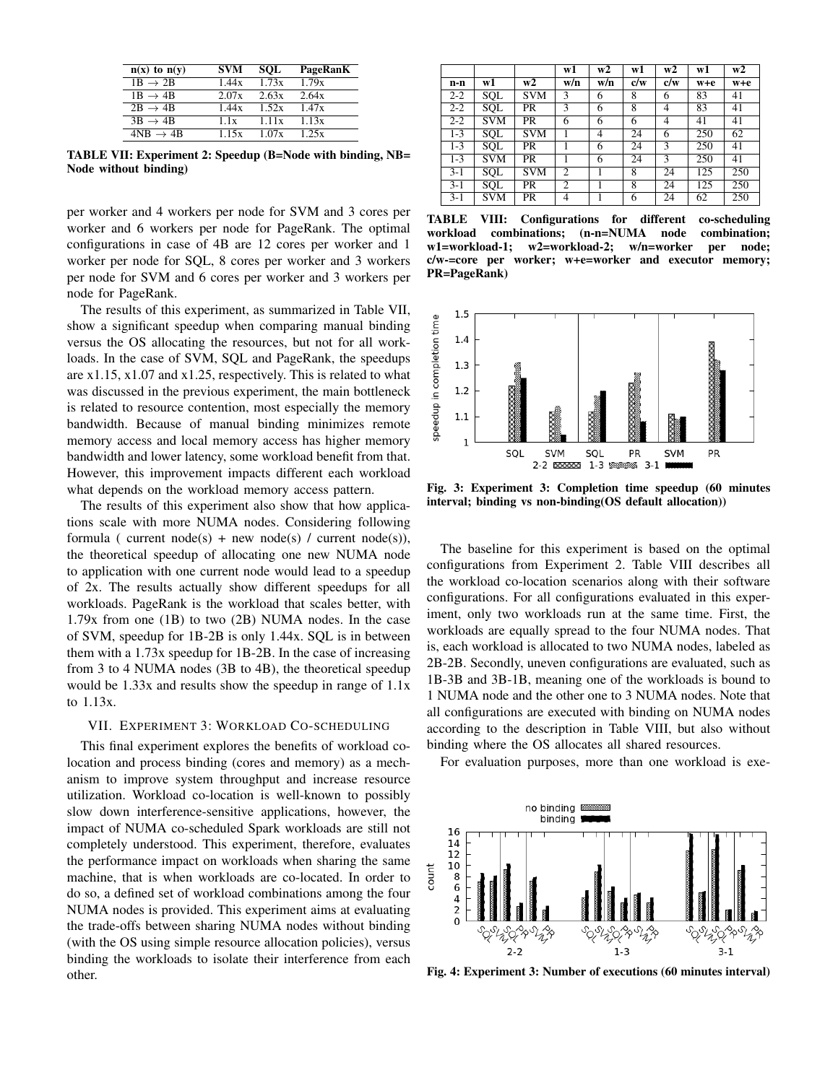| $n(x)$ to $n(y)$     | <b>SVM</b> | <b>SOL</b> | PageRanK |
|----------------------|------------|------------|----------|
| $1B \rightarrow 2B$  | 1.44x      | 1.73x      | 1.79x    |
| $1B \rightarrow 4B$  | 2.07x      | 2.63x      | 2.64x    |
| $2B \rightarrow 4B$  | 1.44x      | 1.52x      | 1.47x    |
| $3B \rightarrow 4B$  | 1.1x       | 1.11x      | 1.13x    |
| $4NB \rightarrow 4B$ | 1.15x      | 1.07x      | 1.25x    |

TABLE VII: Experiment 2: Speedup (B=Node with binding, NB= Node without binding)

per worker and 4 workers per node for SVM and 3 cores per worker and 6 workers per node for PageRank. The optimal configurations in case of 4B are 12 cores per worker and 1 worker per node for SQL, 8 cores per worker and 3 workers per node for SVM and 6 cores per worker and 3 workers per node for PageRank.

The results of this experiment, as summarized in Table VII, show a significant speedup when comparing manual binding versus the OS allocating the resources, but not for all workloads. In the case of SVM, SQL and PageRank, the speedups are x1.15, x1.07 and x1.25, respectively. This is related to what was discussed in the previous experiment, the main bottleneck is related to resource contention, most especially the memory bandwidth. Because of manual binding minimizes remote memory access and local memory access has higher memory bandwidth and lower latency, some workload benefit from that. However, this improvement impacts different each workload what depends on the workload memory access pattern.

The results of this experiment also show that how applications scale with more NUMA nodes. Considering following formula ( current node(s) + new node(s) / current node(s)), the theoretical speedup of allocating one new NUMA node to application with one current node would lead to a speedup of 2x. The results actually show different speedups for all workloads. PageRank is the workload that scales better, with 1.79x from one (1B) to two (2B) NUMA nodes. In the case of SVM, speedup for 1B-2B is only 1.44x. SQL is in between them with a 1.73x speedup for 1B-2B. In the case of increasing from 3 to 4 NUMA nodes (3B to 4B), the theoretical speedup would be 1.33x and results show the speedup in range of 1.1x to 1.13x.

# VII. EXPERIMENT 3: WORKLOAD CO-SCHEDULING

This final experiment explores the benefits of workload colocation and process binding (cores and memory) as a mechanism to improve system throughput and increase resource utilization. Workload co-location is well-known to possibly slow down interference-sensitive applications, however, the impact of NUMA co-scheduled Spark workloads are still not completely understood. This experiment, therefore, evaluates the performance impact on workloads when sharing the same machine, that is when workloads are co-located. In order to do so, a defined set of workload combinations among the four NUMA nodes is provided. This experiment aims at evaluating the trade-offs between sharing NUMA nodes without binding (with the OS using simple resource allocation policies), versus binding the workloads to isolate their interference from each other.

|         |            |            | w1             | w2  | w1  | w2  | w1  | w2  |
|---------|------------|------------|----------------|-----|-----|-----|-----|-----|
| n-n     | w1         | w2         | w/n            | w/n | c/w | c/w | w+e | w+e |
| $2 - 2$ | <b>SQL</b> | <b>SVM</b> | 3              | 6   | 8   | 6   | 83  | 41  |
| $2 - 2$ | SOL        | <b>PR</b>  | 3              | 6   | 8   | 4   | 83  | 41  |
| $2 - 2$ | <b>SVM</b> | <b>PR</b>  | 6              | 6   | 6   | 4   | 41  | 41  |
| $1 - 3$ | <b>SQL</b> | <b>SVM</b> |                | 4   | 24  | 6   | 250 | 62  |
| $1 - 3$ | SOL        | <b>PR</b>  |                | 6   | 24  | 3   | 250 | 41  |
| $1 - 3$ | <b>SVM</b> | <b>PR</b>  |                | 6   | 24  | 3   | 250 | 41  |
| $3-1$   | SOL        | <b>SVM</b> | $\overline{c}$ |     | 8   | 24  | 125 | 250 |
| $3-1$   | SQL        | <b>PR</b>  | 2              |     | 8   | 24  | 125 | 250 |
| $3-1$   | <b>SVM</b> | PR         | 4              |     | 6   | 24  | 62  | 250 |

TABLE VIII: Configurations for different co-scheduling workload combinations; (n-n=NUMA node combination;<br>w1=workload-1; w2=workload-2; w/n=worker per node; w1=workload-1; w2=workload-2; w/n=worker per node; c/w-=core per worker; w+e=worker and executor memory; PR=PageRank)



Fig. 3: Experiment 3: Completion time speedup (60 minutes interval; binding vs non-binding(OS default allocation))

The baseline for this experiment is based on the optimal configurations from Experiment 2. Table VIII describes all the workload co-location scenarios along with their software configurations. For all configurations evaluated in this experiment, only two workloads run at the same time. First, the workloads are equally spread to the four NUMA nodes. That is, each workload is allocated to two NUMA nodes, labeled as 2B-2B. Secondly, uneven configurations are evaluated, such as 1B-3B and 3B-1B, meaning one of the workloads is bound to 1 NUMA node and the other one to 3 NUMA nodes. Note that all configurations are executed with binding on NUMA nodes according to the description in Table VIII, but also without binding where the OS allocates all shared resources.

For evaluation purposes, more than one workload is exe-



Fig. 4: Experiment 3: Number of executions (60 minutes interval)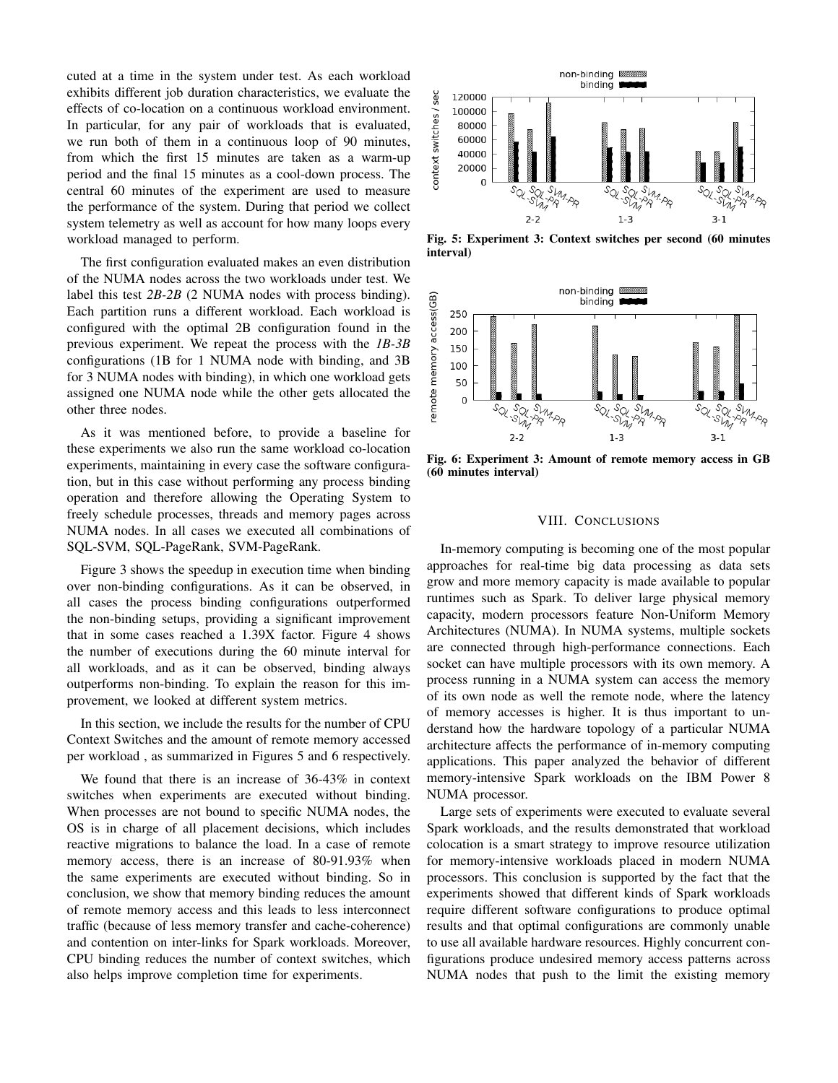cuted at a time in the system under test. As each workload exhibits different job duration characteristics, we evaluate the effects of co-location on a continuous workload environment. In particular, for any pair of workloads that is evaluated, we run both of them in a continuous loop of 90 minutes, from which the first 15 minutes are taken as a warm-up period and the final 15 minutes as a cool-down process. The central 60 minutes of the experiment are used to measure the performance of the system. During that period we collect system telemetry as well as account for how many loops every workload managed to perform.

The first configuration evaluated makes an even distribution of the NUMA nodes across the two workloads under test. We label this test *2B-2B* (2 NUMA nodes with process binding). Each partition runs a different workload. Each workload is configured with the optimal 2B configuration found in the previous experiment. We repeat the process with the *1B-3B* configurations (1B for 1 NUMA node with binding, and 3B for 3 NUMA nodes with binding), in which one workload gets assigned one NUMA node while the other gets allocated the other three nodes.

As it was mentioned before, to provide a baseline for these experiments we also run the same workload co-location experiments, maintaining in every case the software configuration, but in this case without performing any process binding operation and therefore allowing the Operating System to freely schedule processes, threads and memory pages across NUMA nodes. In all cases we executed all combinations of SQL-SVM, SQL-PageRank, SVM-PageRank.

Figure 3 shows the speedup in execution time when binding over non-binding configurations. As it can be observed, in all cases the process binding configurations outperformed the non-binding setups, providing a significant improvement that in some cases reached a 1.39X factor. Figure 4 shows the number of executions during the 60 minute interval for all workloads, and as it can be observed, binding always outperforms non-binding. To explain the reason for this improvement, we looked at different system metrics.

In this section, we include the results for the number of CPU Context Switches and the amount of remote memory accessed per workload , as summarized in Figures 5 and 6 respectively.

We found that there is an increase of 36-43% in context switches when experiments are executed without binding. When processes are not bound to specific NUMA nodes, the OS is in charge of all placement decisions, which includes reactive migrations to balance the load. In a case of remote memory access, there is an increase of 80-91.93% when the same experiments are executed without binding. So in conclusion, we show that memory binding reduces the amount of remote memory access and this leads to less interconnect traffic (because of less memory transfer and cache-coherence) and contention on inter-links for Spark workloads. Moreover, CPU binding reduces the number of context switches, which also helps improve completion time for experiments.



Fig. 5: Experiment 3: Context switches per second (60 minutes interval)



Fig. 6: Experiment 3: Amount of remote memory access in GB (60 minutes interval)

## VIII. CONCLUSIONS

In-memory computing is becoming one of the most popular approaches for real-time big data processing as data sets grow and more memory capacity is made available to popular runtimes such as Spark. To deliver large physical memory capacity, modern processors feature Non-Uniform Memory Architectures (NUMA). In NUMA systems, multiple sockets are connected through high-performance connections. Each socket can have multiple processors with its own memory. A process running in a NUMA system can access the memory of its own node as well the remote node, where the latency of memory accesses is higher. It is thus important to understand how the hardware topology of a particular NUMA architecture affects the performance of in-memory computing applications. This paper analyzed the behavior of different memory-intensive Spark workloads on the IBM Power 8 NUMA processor.

Large sets of experiments were executed to evaluate several Spark workloads, and the results demonstrated that workload colocation is a smart strategy to improve resource utilization for memory-intensive workloads placed in modern NUMA processors. This conclusion is supported by the fact that the experiments showed that different kinds of Spark workloads require different software configurations to produce optimal results and that optimal configurations are commonly unable to use all available hardware resources. Highly concurrent configurations produce undesired memory access patterns across NUMA nodes that push to the limit the existing memory